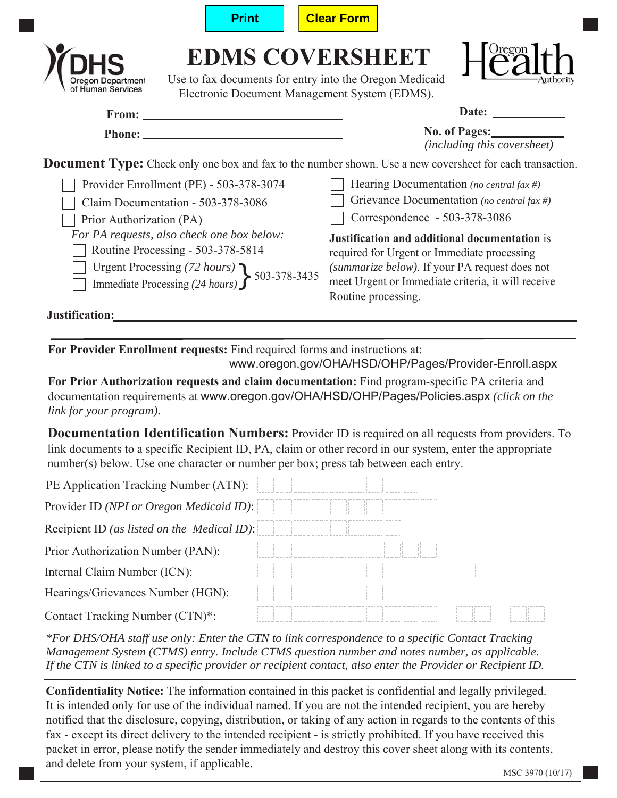|                                                                                                                                                                                                                                                                                                      | <b>Print</b>                                                                                                                       | <b>Clear Form</b> |                                                                                                                                                                                                                                                                                                                 |  |  |  |
|------------------------------------------------------------------------------------------------------------------------------------------------------------------------------------------------------------------------------------------------------------------------------------------------------|------------------------------------------------------------------------------------------------------------------------------------|-------------------|-----------------------------------------------------------------------------------------------------------------------------------------------------------------------------------------------------------------------------------------------------------------------------------------------------------------|--|--|--|
| Oregon Department<br>of Human Services                                                                                                                                                                                                                                                               | <b>EDMS COVERSHEET</b><br>Use to fax documents for entry into the Oregon Medicaid<br>Electronic Document Management System (EDMS). |                   | $\sum_{i=1}^{n}$                                                                                                                                                                                                                                                                                                |  |  |  |
|                                                                                                                                                                                                                                                                                                      |                                                                                                                                    |                   |                                                                                                                                                                                                                                                                                                                 |  |  |  |
|                                                                                                                                                                                                                                                                                                      |                                                                                                                                    |                   | <b>No. of Pages:</b><br>(including this coversheet)                                                                                                                                                                                                                                                             |  |  |  |
|                                                                                                                                                                                                                                                                                                      |                                                                                                                                    |                   | <b>Document Type:</b> Check only one box and fax to the number shown. Use a new coversheet for each transaction.                                                                                                                                                                                                |  |  |  |
|                                                                                                                                                                                                                                                                                                      | Provider Enrollment (PE) - 503-378-3074                                                                                            |                   | Hearing Documentation (no central fax #)                                                                                                                                                                                                                                                                        |  |  |  |
|                                                                                                                                                                                                                                                                                                      | Claim Documentation - 503-378-3086                                                                                                 |                   | Grievance Documentation (no central fax #)                                                                                                                                                                                                                                                                      |  |  |  |
| Prior Authorization (PA)                                                                                                                                                                                                                                                                             | For PA requests, also check one box below:                                                                                         |                   | Correspondence - 503-378-3086                                                                                                                                                                                                                                                                                   |  |  |  |
|                                                                                                                                                                                                                                                                                                      | Routine Processing - 503-378-5814                                                                                                  |                   | Justification and additional documentation is<br>required for Urgent or Immediate processing                                                                                                                                                                                                                    |  |  |  |
|                                                                                                                                                                                                                                                                                                      |                                                                                                                                    |                   | (summarize below). If your PA request does not                                                                                                                                                                                                                                                                  |  |  |  |
| Urgent Processing (72 hours)<br>Immediate Processing (24 hours) > 503-378-3435                                                                                                                                                                                                                       |                                                                                                                                    |                   | meet Urgent or Immediate criteria, it will receive<br>Routine processing.                                                                                                                                                                                                                                       |  |  |  |
| Justification:                                                                                                                                                                                                                                                                                       |                                                                                                                                    |                   |                                                                                                                                                                                                                                                                                                                 |  |  |  |
|                                                                                                                                                                                                                                                                                                      |                                                                                                                                    |                   |                                                                                                                                                                                                                                                                                                                 |  |  |  |
|                                                                                                                                                                                                                                                                                                      | For Provider Enrollment requests: Find required forms and instructions at:                                                         |                   |                                                                                                                                                                                                                                                                                                                 |  |  |  |
| www.oregon.gov/OHA/HSD/OHP/Pages/Provider-Enroll.aspx<br>For Prior Authorization requests and claim documentation: Find program-specific PA criteria and<br>documentation requirements at www.oregon.gov/OHA/HSD/OHP/Pages/Policies.aspx (click on the<br>link for your program).                    |                                                                                                                                    |                   |                                                                                                                                                                                                                                                                                                                 |  |  |  |
| Documentation Identification Numbers: Provider ID is required on all requests from providers. To<br>link documents to a specific Recipient ID, PA, claim or other record in our system, enter the appropriate<br>number(s) below. Use one character or number per box; press tab between each entry. |                                                                                                                                    |                   |                                                                                                                                                                                                                                                                                                                 |  |  |  |
| PE Application Tracking Number (ATN):                                                                                                                                                                                                                                                                |                                                                                                                                    |                   |                                                                                                                                                                                                                                                                                                                 |  |  |  |
| Provider ID (NPI or Oregon Medicaid ID):                                                                                                                                                                                                                                                             |                                                                                                                                    |                   |                                                                                                                                                                                                                                                                                                                 |  |  |  |
| Recipient ID (as listed on the Medical ID):                                                                                                                                                                                                                                                          |                                                                                                                                    |                   |                                                                                                                                                                                                                                                                                                                 |  |  |  |
| Prior Authorization Number (PAN):                                                                                                                                                                                                                                                                    |                                                                                                                                    |                   |                                                                                                                                                                                                                                                                                                                 |  |  |  |
| Internal Claim Number (ICN):                                                                                                                                                                                                                                                                         |                                                                                                                                    |                   |                                                                                                                                                                                                                                                                                                                 |  |  |  |
| Hearings/Grievances Number (HGN):                                                                                                                                                                                                                                                                    |                                                                                                                                    |                   |                                                                                                                                                                                                                                                                                                                 |  |  |  |
| Contact Tracking Number (CTN)*:                                                                                                                                                                                                                                                                      |                                                                                                                                    |                   |                                                                                                                                                                                                                                                                                                                 |  |  |  |
|                                                                                                                                                                                                                                                                                                      |                                                                                                                                    |                   | *For DHS/OHA staff use only: Enter the CTN to link correspondence to a specific Contact Tracking<br>Management System (CTMS) entry. Include CTMS question number and notes number, as applicable.<br>If the CTN is linked to a specific provider or recipient contact, also enter the Provider or Recipient ID. |  |  |  |
|                                                                                                                                                                                                                                                                                                      |                                                                                                                                    |                   | Confidentiality Notice: The information contained in this packet is confidential and legally privileged.<br>It is intended only for use of the individual named. If you are not the intended recipient, you are hereby                                                                                          |  |  |  |

It is intended only for use of the individual named. If you are not the intended recipient, you are hereby notified that the disclosure, copying, distribution, or taking of any action in regards to the contents of this fax - except its direct delivery to the intended recipient - is strictly prohibited. If you have received this packet in error, please notify the sender immediately and destroy this cover sheet along with its contents, and delete from your system, if applicable.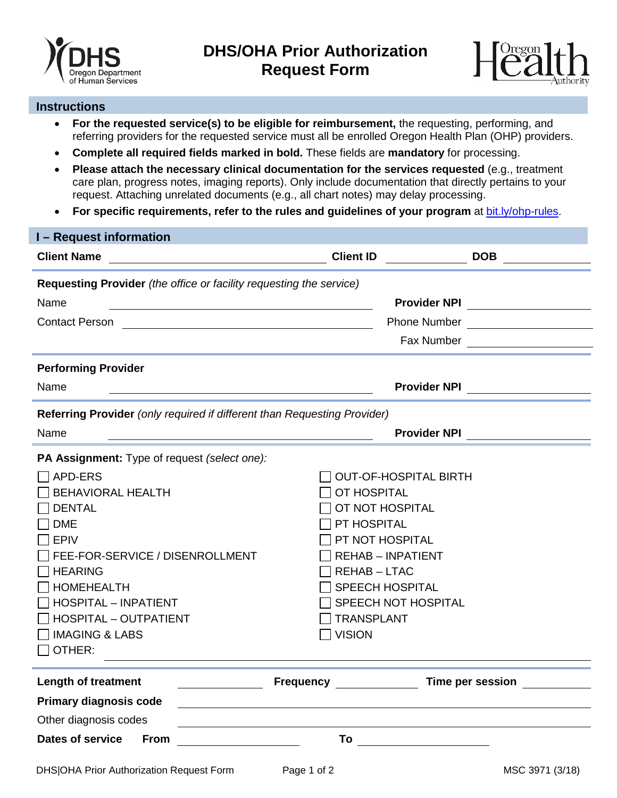



## **Instructions**

- **For the requested service(s) to be eligible for reimbursement,** the requesting, performing, and referring providers for the requested service must all be enrolled Oregon Health Plan (OHP) providers.
- **Complete all required fields marked in bold.** These fields are **mandatory** for processing.
- **Please attach the necessary clinical documentation for the services requested** (e.g., treatment care plan, progress notes, imaging reports). Only include documentation that directly pertains to your request. Attaching unrelated documents (e.g., all chart notes) may delay processing.
- **For specific requirements, refer to the rules and guidelines of your program** at [bit.ly/ohp-rules.](http://bit.ly/ohp-rules)

| <b>I</b> – Request information                                           |                                      |                                  |  |  |  |  |  |  |
|--------------------------------------------------------------------------|--------------------------------------|----------------------------------|--|--|--|--|--|--|
| <b>Client Name</b>                                                       | <b>Client ID</b>                     | <b>DOB</b>                       |  |  |  |  |  |  |
| Requesting Provider (the office or facility requesting the service)      |                                      |                                  |  |  |  |  |  |  |
| Name                                                                     |                                      | Provider NPI                     |  |  |  |  |  |  |
| <b>Contact Person</b>                                                    |                                      | <b>Phone Number</b> Phone Number |  |  |  |  |  |  |
|                                                                          |                                      |                                  |  |  |  |  |  |  |
| <b>Performing Provider</b>                                               |                                      |                                  |  |  |  |  |  |  |
| Name                                                                     | <b>Provider NPI</b>                  |                                  |  |  |  |  |  |  |
| Referring Provider (only required if different than Requesting Provider) |                                      |                                  |  |  |  |  |  |  |
| Name                                                                     |                                      | <b>Provider NPI</b>              |  |  |  |  |  |  |
| PA Assignment: Type of request (select one):                             |                                      |                                  |  |  |  |  |  |  |
| APD-ERS                                                                  | <b>OUT-OF-HOSPITAL BIRTH</b>         |                                  |  |  |  |  |  |  |
| <b>BEHAVIORAL HEALTH</b>                                                 | OT HOSPITAL                          |                                  |  |  |  |  |  |  |
| <b>DENTAL</b>                                                            | OT NOT HOSPITAL                      |                                  |  |  |  |  |  |  |
| <b>DME</b>                                                               | PT HOSPITAL                          |                                  |  |  |  |  |  |  |
| <b>EPIV</b>                                                              | PT NOT HOSPITAL                      |                                  |  |  |  |  |  |  |
| FEE-FOR-SERVICE / DISENROLLMENT                                          | <b>REHAB - INPATIENT</b>             |                                  |  |  |  |  |  |  |
| <b>HEARING</b>                                                           | <b>REHAB-LTAC</b>                    |                                  |  |  |  |  |  |  |
| <b>HOMEHEALTH</b>                                                        | <b>SPEECH HOSPITAL</b>               |                                  |  |  |  |  |  |  |
| <b>HOSPITAL - INPATIENT</b>                                              | SPEECH NOT HOSPITAL                  |                                  |  |  |  |  |  |  |
| <b>HOSPITAL - OUTPATIENT</b>                                             | <b>TRANSPLANT</b>                    |                                  |  |  |  |  |  |  |
| <b>IMAGING &amp; LABS</b>                                                | <b>VISION</b>                        |                                  |  |  |  |  |  |  |
| OTHER:                                                                   |                                      |                                  |  |  |  |  |  |  |
| <b>Length of treatment</b>                                               | <b>Frequency</b> <u>____________</u> | <b>Time per session</b>          |  |  |  |  |  |  |
| <b>Primary diagnosis code</b>                                            |                                      |                                  |  |  |  |  |  |  |
| Other diagnosis codes                                                    |                                      |                                  |  |  |  |  |  |  |
| <b>Dates of service</b><br>To<br><b>From</b>                             |                                      |                                  |  |  |  |  |  |  |